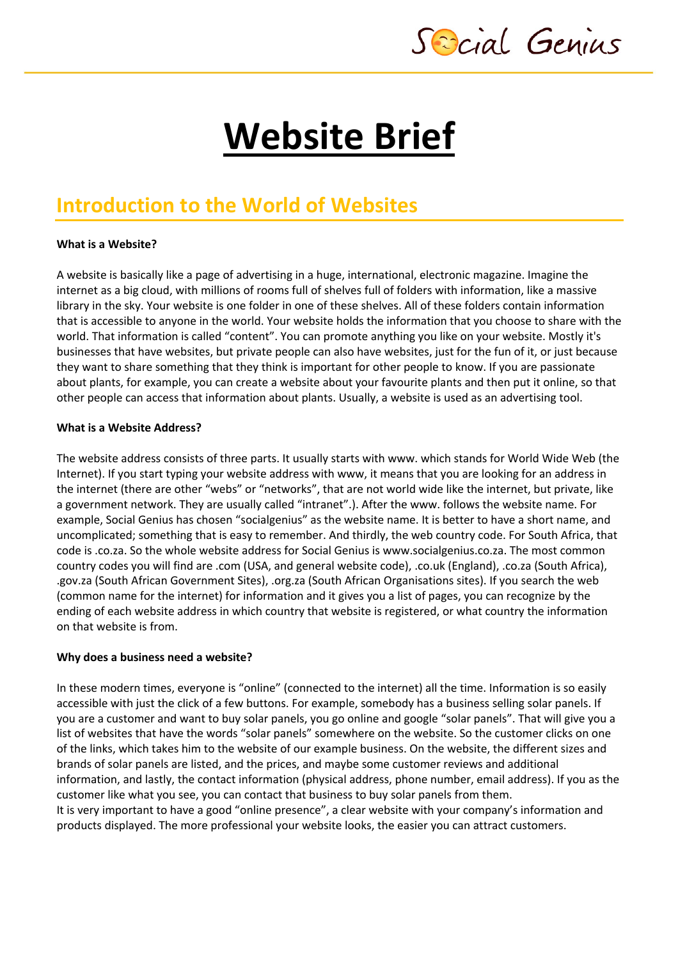Sescial Genius

# **Website Brief**

# **Introduction to the World of Websites**

### **What is a Website?**

A website is basically like a page of advertising in a huge, international, electronic magazine. Imagine the internet as a big cloud, with millions of rooms full of shelves full of folders with information, like a massive library in the sky. Your website is one folder in one of these shelves. All of these folders contain information that is accessible to anyone in the world. Your website holds the information that you choose to share with the world. That information is called "content". You can promote anything you like on your website. Mostly it's businesses that have websites, but private people can also have websites, just for the fun of it, or just because they want to share something that they think is important for other people to know. If you are passionate about plants, for example, you can create a website about your favourite plants and then put it online, so that other people can access that information about plants. Usually, a website is used as an advertising tool.

### **What is a Website Address?**

The website address consists of three parts. It usually starts with www. which stands for World Wide Web (the Internet). If you start typing your website address with www, it means that you are looking for an address in the internet (there are other "webs" or "networks", that are not world wide like the internet, but private, like a government network. They are usually called "intranet".). After the www. follows the website name. For example, Social Genius has chosen "socialgenius" as the website name. It is better to have a short name, and uncomplicated; something that is easy to remember. And thirdly, the web country code. For South Africa, that code is .co.za. So the whole website address for Social Genius is www.socialgenius.co.za. The most common country codes you will find are .com (USA, and general website code), .co.uk (England), .co.za (South Africa), .gov.za (South African Government Sites), .org.za (South African Organisations sites). If you search the web (common name for the internet) for information and it gives you a list of pages, you can recognize by the ending of each website address in which country that website is registered, or what country the information on that website is from.

### **Why does a business need a website?**

In these modern times, everyone is "online" (connected to the internet) all the time. Information is so easily accessible with just the click of a few buttons. For example, somebody has a business selling solar panels. If you are a customer and want to buy solar panels, you go online and google "solar panels". That will give you a list of websites that have the words "solar panels" somewhere on the website. So the customer clicks on one of the links, which takes him to the website of our example business. On the website, the different sizes and brands of solar panels are listed, and the prices, and maybe some customer reviews and additional information, and lastly, the contact information (physical address, phone number, email address). If you as the customer like what you see, you can contact that business to buy solar panels from them. It is very important to have a good "online presence", a clear website with your company's information and products displayed. The more professional your website looks, the easier you can attract customers.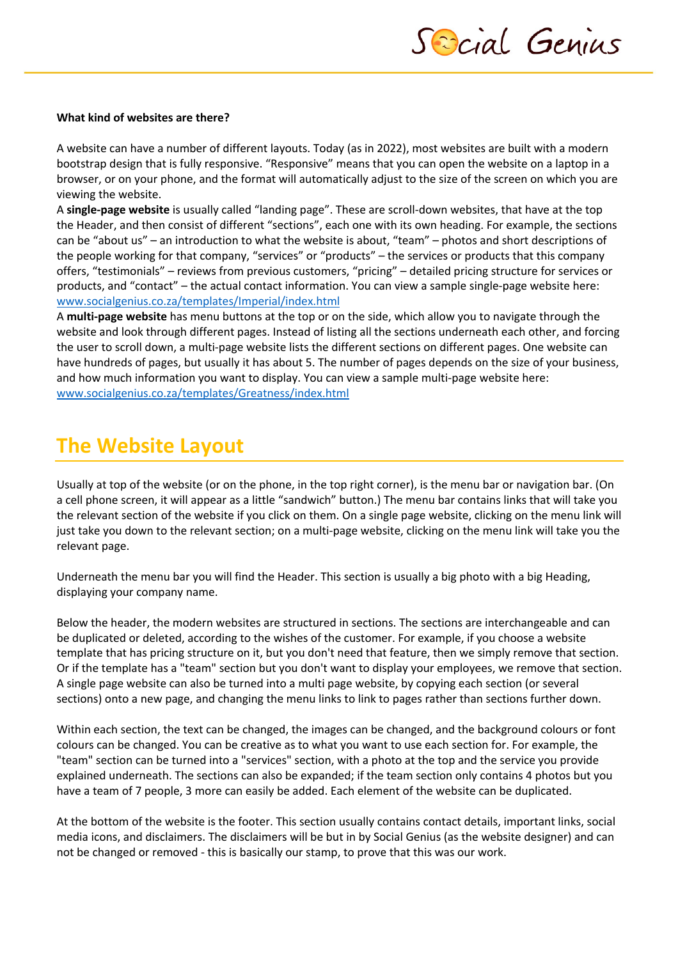

#### **What kind of websites are there?**

A website can have a number of different layouts. Today (as in 2022), most websites are built with a modern bootstrap design that is fully responsive. "Responsive" means that you can open the website on a laptop in a browser, or on your phone, and the format will automatically adjust to the size of the screen on which you are viewing the website.

A **single-page website** is usually called "landing page". These are scroll-down websites, that have at the top the Header, and then consist of different "sections", each one with its own heading. For example, the sections can be "about us" – an introduction to what the website is about, "team" – photos and short descriptions of the people working for that company, "services" or "products" – the services or products that this company offers, "testimonials" – reviews from previous customers, "pricing" – detailed pricing structure for services or products, and "contact" – the actual contact information. You can view a sample single-page website here: www.socialgenius.co.za/templates/Imperial/index.html

A **multi-page website** has menu buttons at the top or on the side, which allow you to navigate through the website and look through different pages. Instead of listing all the sections underneath each other, and forcing the user to scroll down, a multi-page website lists the different sections on different pages. One website can have hundreds of pages, but usually it has about 5. The number of pages depends on the size of your business, and how much information you want to display. You can view a sample multi-page website here: www.socialgenius.co.za/templates/Greatness/index.html

# **The Website Layout**

Usually at top of the website (or on the phone, in the top right corner), is the menu bar or navigation bar. (On a cell phone screen, it will appear as a little "sandwich" button.) The menu bar contains links that will take you the relevant section of the website if you click on them. On a single page website, clicking on the menu link will just take you down to the relevant section; on a multi-page website, clicking on the menu link will take you the relevant page.

Underneath the menu bar you will find the Header. This section is usually a big photo with a big Heading, displaying your company name.

Below the header, the modern websites are structured in sections. The sections are interchangeable and can be duplicated or deleted, according to the wishes of the customer. For example, if you choose a website template that has pricing structure on it, but you don't need that feature, then we simply remove that section. Or if the template has a "team" section but you don't want to display your employees, we remove that section. A single page website can also be turned into a multi page website, by copying each section (or several sections) onto a new page, and changing the menu links to link to pages rather than sections further down.

Within each section, the text can be changed, the images can be changed, and the background colours or font colours can be changed. You can be creative as to what you want to use each section for. For example, the "team" section can be turned into a "services" section, with a photo at the top and the service you provide explained underneath. The sections can also be expanded; if the team section only contains 4 photos but you have a team of 7 people, 3 more can easily be added. Each element of the website can be duplicated.

At the bottom of the website is the footer. This section usually contains contact details, important links, social media icons, and disclaimers. The disclaimers will be but in by Social Genius (as the website designer) and can not be changed or removed - this is basically our stamp, to prove that this was our work.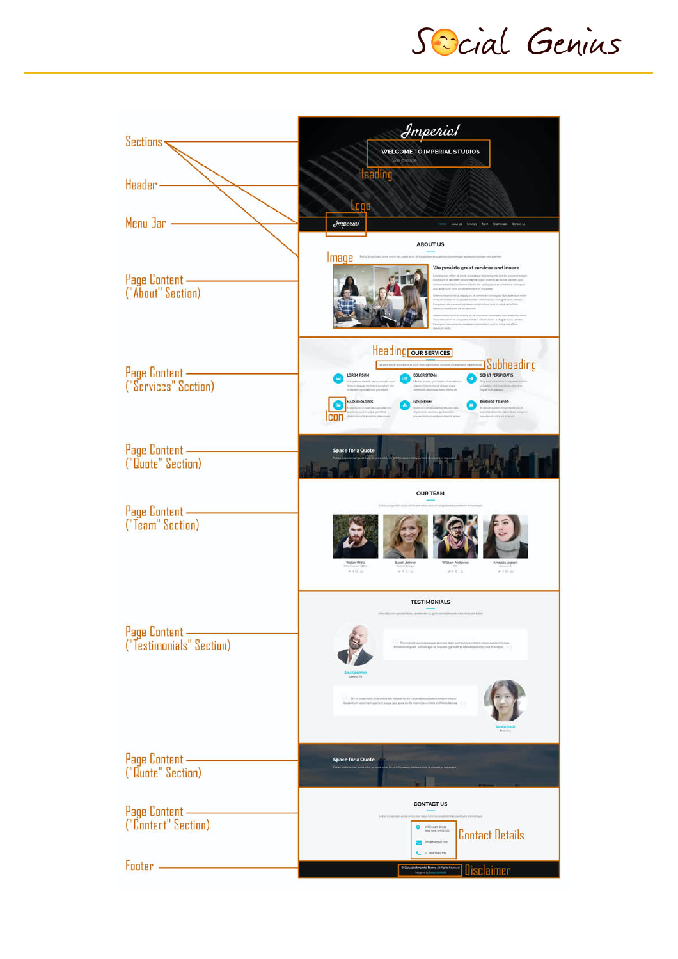Scial Genius

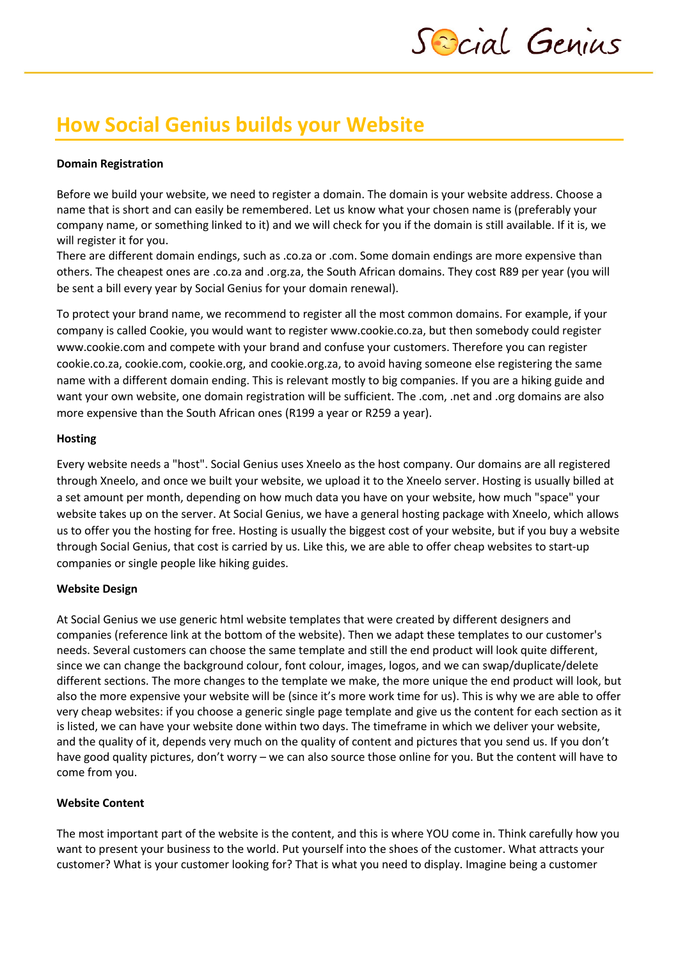# **How Social Genius builds your Website**

### **Domain Registration**

Before we build your website, we need to register a domain. The domain is your website address. Choose a name that is short and can easily be remembered. Let us know what your chosen name is (preferably your company name, or something linked to it) and we will check for you if the domain is still available. If it is, we will register it for you.

There are different domain endings, such as .co.za or .com. Some domain endings are more expensive than others. The cheapest ones are .co.za and .org.za, the South African domains. They cost R89 per year (you will be sent a bill every year by Social Genius for your domain renewal).

To protect your brand name, we recommend to register all the most common domains. For example, if your company is called Cookie, you would want to register www.cookie.co.za, but then somebody could register www.cookie.com and compete with your brand and confuse your customers. Therefore you can register cookie.co.za, cookie.com, cookie.org, and cookie.org.za, to avoid having someone else registering the same name with a different domain ending. This is relevant mostly to big companies. If you are a hiking guide and want your own website, one domain registration will be sufficient. The .com, .net and .org domains are also more expensive than the South African ones (R199 a year or R259 a year).

### **Hosting**

Every website needs a "host". Social Genius uses Xneelo as the host company. Our domains are all registered through Xneelo, and once we built your website, we upload it to the Xneelo server. Hosting is usually billed at a set amount per month, depending on how much data you have on your website, how much "space" your website takes up on the server. At Social Genius, we have a general hosting package with Xneelo, which allows us to offer you the hosting for free. Hosting is usually the biggest cost of your website, but if you buy a website through Social Genius, that cost is carried by us. Like this, we are able to offer cheap websites to start-up companies or single people like hiking guides.

### **Website Design**

At Social Genius we use generic html website templates that were created by different designers and companies (reference link at the bottom of the website). Then we adapt these templates to our customer's needs. Several customers can choose the same template and still the end product will look quite different, since we can change the background colour, font colour, images, logos, and we can swap/duplicate/delete different sections. The more changes to the template we make, the more unique the end product will look, but also the more expensive your website will be (since it's more work time for us). This is why we are able to offer very cheap websites: if you choose a generic single page template and give us the content for each section as it is listed, we can have your website done within two days. The timeframe in which we deliver your website, and the quality of it, depends very much on the quality of content and pictures that you send us. If you don't have good quality pictures, don't worry – we can also source those online for you. But the content will have to come from you.

### **Website Content**

The most important part of the website is the content, and this is where YOU come in. Think carefully how you want to present your business to the world. Put yourself into the shoes of the customer. What attracts your customer? What is your customer looking for? That is what you need to display. Imagine being a customer